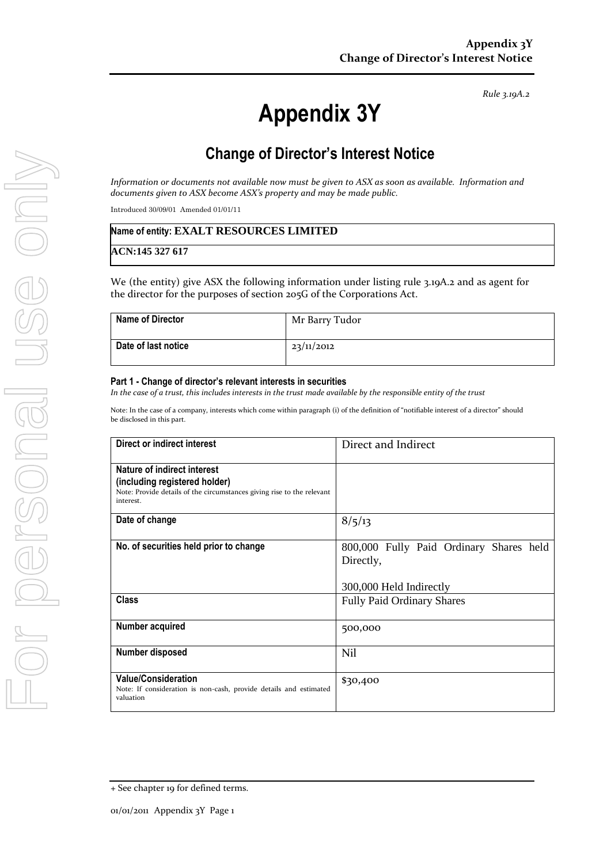*Rule 3.19A.2*

# **Appendix 3Y**

# **Change of Director's Interest Notice**

*Information or documents not available now must be given to ASX as soon as available. Information and documents given to ASX become ASX's property and may be made public.*

Introduced 30/09/01 Amended 01/01/11

#### **Name of entity: EXALT RESOURCES LIMITED**

**ACN:145 327 617**

We (the entity) give ASX the following information under listing rule 3.19A.2 and as agent for the director for the purposes of section 205G of the Corporations Act.

| <b>Name of Director</b> | Mr Barry Tudor |
|-------------------------|----------------|
| Date of last notice     | 23/11/2012     |

#### **Part 1 - Change of director's relevant interests in securities**

*In the case of a trust, this includes interests in the trust made available by the responsible entity of the trust*

Note: In the case of a company, interests which come within paragraph (i) of the definition of "notifiable interest of a director" should be disclosed in this part.

| Direct or indirect interest                                                                                                                         | Direct and Indirect                                                             |  |
|-----------------------------------------------------------------------------------------------------------------------------------------------------|---------------------------------------------------------------------------------|--|
| Nature of indirect interest<br>(including registered holder)<br>Note: Provide details of the circumstances giving rise to the relevant<br>interest. |                                                                                 |  |
| Date of change                                                                                                                                      | 8/5/13                                                                          |  |
| No. of securities held prior to change                                                                                                              | 800,000 Fully Paid Ordinary Shares held<br>Directly,<br>300,000 Held Indirectly |  |
| <b>Class</b>                                                                                                                                        | <b>Fully Paid Ordinary Shares</b>                                               |  |
| Number acquired                                                                                                                                     | 500,000                                                                         |  |
| Number disposed                                                                                                                                     | Nil                                                                             |  |
| <b>Value/Consideration</b><br>Note: If consideration is non-cash, provide details and estimated<br>valuation                                        | \$30,400                                                                        |  |

<sup>+</sup> See chapter 19 for defined terms.